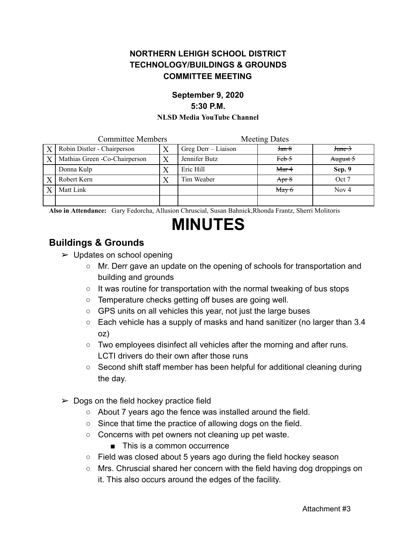### **NORTHERN LEHIGH SCHOOL DISTRICT TECHNOLOGY/BUILDINGS & GROUNDS COMMITTEE MEETING**

## **September 9, 2020 5:30 P.M.**

#### **NLSD Media YouTube Channel**

| <b>Committee Members</b> |                                |  | <b>Meeting Dates</b> |                  |                         |
|--------------------------|--------------------------------|--|----------------------|------------------|-------------------------|
| $\mathbf{X}$             | Robin Distler - Chairperson    |  | Greg Derr – Liaison  | Jan 8            | $J$ <sub>tume</sub> $3$ |
| X                        | Mathias Green - Co-Chairperson |  | Jennifer Butz        | Feb <sub>5</sub> | August 5                |
|                          | Donna Kulp                     |  | Eric Hill            | Mar 4            | Sep. 9                  |
|                          | Robert Kern                    |  | Tim Weaber           | Apr $8$          | Oct 7                   |
|                          | Matt Link                      |  |                      | May 6            | Nov $4$                 |
|                          |                                |  |                      |                  |                         |

**Also in Attendance:** Gary Fedorcha, Allusion Chruscial, Susan Bahnick,Rhonda Frantz, Sherri Molitoris

# **MINUTES**

### **Buildings & Grounds**

- $\triangleright$  Updates on school opening
	- Mr. Derr gave an update on the opening of schools for transportation and building and grounds
	- It was routine for transportation with the normal tweaking of bus stops
	- Temperature checks getting off buses are going well.
	- GPS units on all vehicles this year, not just the large buses
	- Each vehicle has a supply of masks and hand sanitizer (no larger than 3.4 oz)
	- Two employees disinfect all vehicles after the morning and after runs. LCTI drivers do their own after those runs
	- Second shift staff member has been helpful for additional cleaning during the day.
- $\triangleright$  Dogs on the field hockey practice field
	- About 7 years ago the fence was installed around the field.
	- Since that time the practice of allowing dogs on the field.
	- Concerns with pet owners not cleaning up pet waste.
		- This is a common occurrence
	- Field was closed about 5 years ago during the field hockey season
	- Mrs. Chruscial shared her concern with the field having dog droppings on it. This also occurs around the edges of the facility.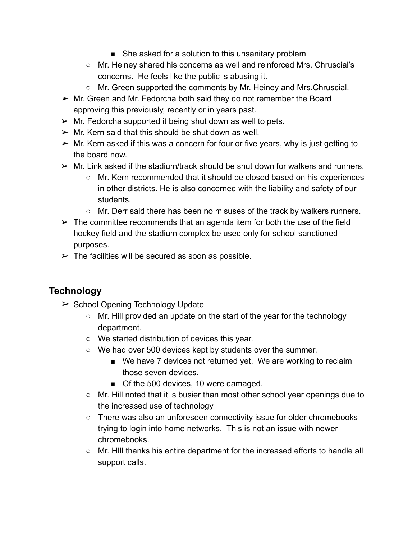- She asked for a solution to this unsanitary problem
- Mr. Heiney shared his concerns as well and reinforced Mrs. Chruscial's concerns. He feels like the public is abusing it.
- Mr. Green supported the comments by Mr. Heiney and Mrs. Chruscial.
- $\triangleright$  Mr. Green and Mr. Fedorcha both said they do not remember the Board approving this previously, recently or in years past.
- $\triangleright$  Mr. Fedorcha supported it being shut down as well to pets.
- $\triangleright$  Mr. Kern said that this should be shut down as well.
- $\triangleright$  Mr. Kern asked if this was a concern for four or five years, why is just getting to the board now.
- $\triangleright$  Mr. Link asked if the stadium/track should be shut down for walkers and runners.
	- Mr. Kern recommended that it should be closed based on his experiences in other districts. He is also concerned with the liability and safety of our students.
	- Mr. Derr said there has been no misuses of the track by walkers runners.
- $\triangleright$  The committee recommends that an agenda item for both the use of the field hockey field and the stadium complex be used only for school sanctioned purposes.
- $\triangleright$  The facilities will be secured as soon as possible.

### **Technology**

- ➢ School Opening Technology Update
	- Mr. Hill provided an update on the start of the year for the technology department.
	- We started distribution of devices this year.
	- We had over 500 devices kept by students over the summer.
		- We have 7 devices not returned yet. We are working to reclaim those seven devices.
		- Of the 500 devices, 10 were damaged.
	- Mr. Hill noted that it is busier than most other school year openings due to the increased use of technology
	- There was also an unforeseen connectivity issue for older chromebooks trying to login into home networks. This is not an issue with newer chromebooks.
	- Mr. HIll thanks his entire department for the increased efforts to handle all support calls.